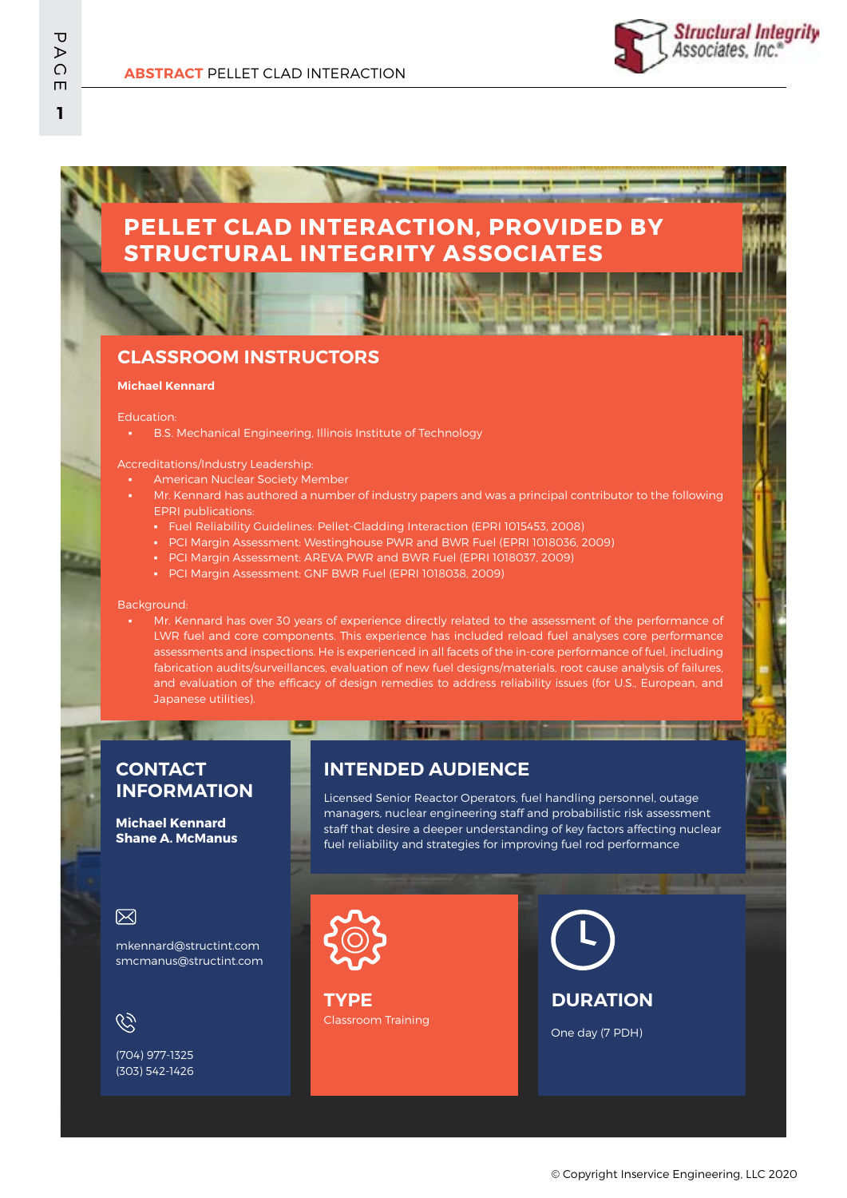# **PELLET CLAD INTERACTION, PROVIDED BY STRUCTURAL INTEGRITY ASSOCIATES**

### **CLASSROOM INSTRUCTORS**

#### **Michael Kennard**

#### Education:

▪ B.S. Mechanical Engineering, Illinois Institute of Technology

Accreditations/Industry Leadership:

- **American Nuclear Society Member**
- Mr. Kennard has authored a number of industry papers and was a principal contributor to the following EPRI publications:
	- Fuel Reliability Guidelines: Pellet-Cladding Interaction (EPRI 1015453, 2008)
	- PCI Margin Assessment: Westinghouse PWR and BWR Fuel (EPRI 1018036, 2009)
	- **PCI Margin Assessment: AREVA PWR and BWR Fuel (EPRI 1018037, 2009)**
	- PCI Margin Assessment: GNF BWR Fuel (EPRI 1018038, 2009)

ப

#### Background:

Mr. Kennard has over 30 years of experience directly related to the assessment of the performance of LWR fuel and core components. This experience has included reload fuel analyses core performance assessments and inspections. He is experienced in all facets of the in-core performance of fuel, including fabrication audits/surveillances, evaluation of new fuel designs/materials, root cause analysis of failures, and evaluation of the efficacy of design remedies to address reliability issues (for U.S., European, and Japanese utilities).

### **CONTACT INFORMATION**

**Michael Kennard Shane A. McManus**

### **INTENDED AUDIENCE**

**IN EXIT A REPORT OF** 

Licensed Senior Reactor Operators, fuel handling personnel, outage managers, nuclear engineering staff and probabilistic risk assessment staff that desire a deeper understanding of key factors affecting nuclear fuel reliability and strategies for improving fuel rod performance

#### 冈

mkennard@structint.com smcmanus@structint.com

G)

(704) 977-1325 (303) 542-1426



Classroom Training **TYPE**

**DURATION**

One day (7 PDH)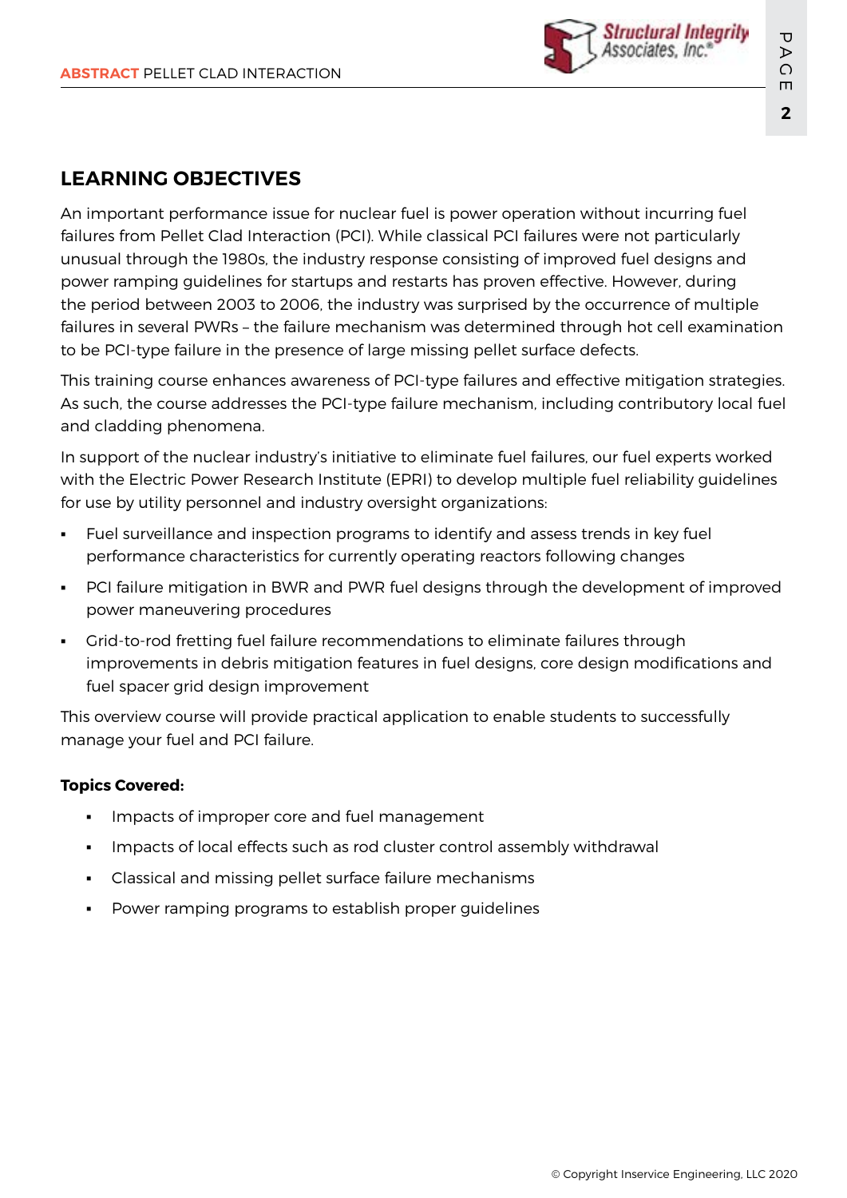

## **LEARNING OBJECTIVES**

An important performance issue for nuclear fuel is power operation without incurring fuel failures from Pellet Clad Interaction (PCI). While classical PCI failures were not particularly unusual through the 1980s, the industry response consisting of improved fuel designs and power ramping guidelines for startups and restarts has proven effective. However, during the period between 2003 to 2006, the industry was surprised by the occurrence of multiple failures in several PWRs – the failure mechanism was determined through hot cell examination to be PCI-type failure in the presence of large missing pellet surface defects.

This training course enhances awareness of PCI-type failures and effective mitigation strategies. As such, the course addresses the PCI-type failure mechanism, including contributory local fuel and cladding phenomena.

In support of the nuclear industry's initiative to eliminate fuel failures, our fuel experts worked with the Electric Power Research Institute (EPRI) to develop multiple fuel reliability guidelines for use by utility personnel and industry oversight organizations:

- Fuel surveillance and inspection programs to identify and assess trends in key fuel performance characteristics for currently operating reactors following changes
- PCI failure mitigation in BWR and PWR fuel designs through the development of improved power maneuvering procedures
- Grid-to-rod fretting fuel failure recommendations to eliminate failures through improvements in debris mitigation features in fuel designs, core design modifications and fuel spacer grid design improvement

This overview course will provide practical application to enable students to successfully manage your fuel and PCI failure.

### **Topics Covered:**

- Impacts of improper core and fuel management
- Impacts of local effects such as rod cluster control assembly withdrawal
- Classical and missing pellet surface failure mechanisms
- Power ramping programs to establish proper guidelines